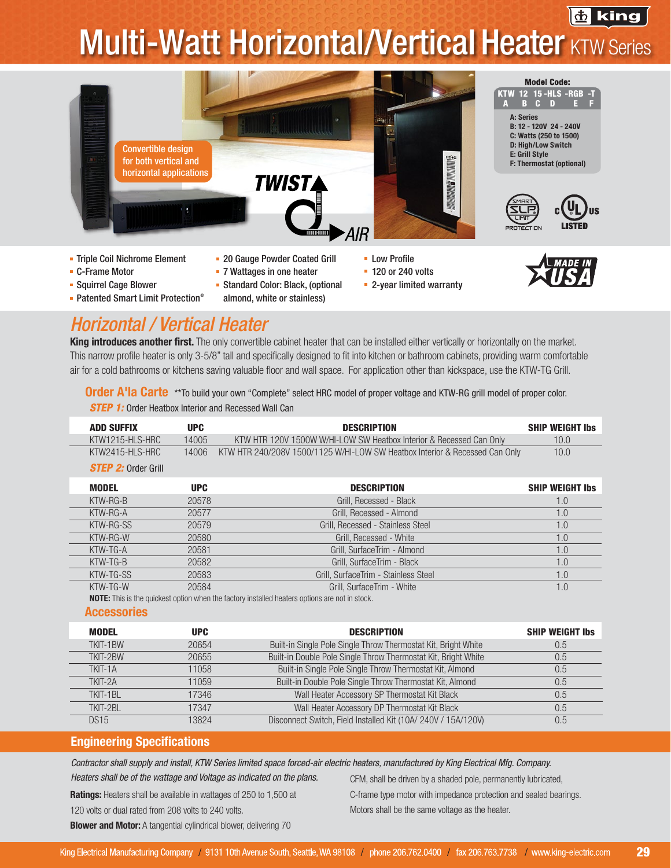# **Multi-Watt Horizontal/Vertical Heater KTW Series**



- **Squirrel Cage Blower**
- 
- Standard Color: Black, (optional
- Patented Smart Limit Protection<sup>®</sup> almond, white or stainless)
- 
- 2-year limited warranty

### *Horizontal / Vertical Heater*

**King introduces another first.** The only convertible cabinet heater that can be installed either vertically or horizontally on the market. This narrow profile heater is only 3-5/8" tall and specifically designed to fit into kitchen or bathroom cabinets, providing warm comfortable air for a cold bathrooms or kitchens saving valuable floor and wall space. For application other than kickspace, use the KTW-TG Grill.

*STEP 1:* Order Heatbox Interior and Recessed Wall Can **Order A'la Carte** \*\*To build your own "Complete" select HRC model of proper voltage and KTW-RG grill model of proper color.

| KTW1215-HLS-HRC<br>14005<br>KTW HTR 120V 1500W W/HI-LOW SW Heatbox Interior & Recessed Can Only<br>10.0<br>KTW HTR 240/208V 1500/1125 W/HI-LOW SW Heatbox Interior & Recessed Can Only<br>KTW2415-HLS-HRC<br>14006<br>10.0<br><b>STEP 2: Order Grill</b><br><b>MODEL</b><br><b>UPC</b><br><b>DESCRIPTION</b><br>KTW-RG-B<br>20578<br>Grill, Recessed - Black<br>1.0<br>Grill, Recessed - Almond<br>KTW-RG-A<br>20577<br>1.0<br>KTW-RG-SS<br>Grill, Recessed - Stainless Steel<br>20579<br>1.0<br>Grill, Recessed - White<br>KTW-RG-W<br>20580<br>1.0<br>KTW-TG-A<br>20581<br>Grill, SurfaceTrim - Almond<br>1.0<br>KTW-TG-B<br>20582<br>Grill, SurfaceTrim - Black<br>1.0<br>KTW-TG-SS<br>Grill, SurfaceTrim - Stainless Steel<br>20583<br>1.0<br>KTW-TG-W<br>20584<br>Grill, SurfaceTrim - White<br>1.0<br><b>NOTE:</b> This is the quickest option when the factory installed heaters options are not in stock.<br><b>Accessories</b><br><b>MODEL</b><br><b>UPC</b><br><b>DESCRIPTION</b><br>Built-in Single Pole Single Throw Thermostat Kit, Bright White<br>TKIT-1BW<br>20654<br>0.5<br>Built-in Double Pole Single Throw Thermostat Kit, Bright White<br>TKIT-2BW<br>20655<br>0.5<br>Built-in Single Pole Single Throw Thermostat Kit, Almond<br>TKIT-1A<br>11058<br>0.5<br>Built-in Double Pole Single Throw Thermostat Kit, Almond<br>TKIT-2A<br>11059<br>0.5<br>Wall Heater Accessory SP Thermostat Kit Black<br><b>TKIT-1BL</b><br>17346<br>0.5<br>Wall Heater Accessory DP Thermostat Kit Black<br>TKIT-2BL<br>17347<br>0.5 | <b>ADD SUFFIX</b> | <b>UPC</b> | <b>DESCRIPTION</b>                                            | <b>SHIP WEIGHT Ibs</b> |
|----------------------------------------------------------------------------------------------------------------------------------------------------------------------------------------------------------------------------------------------------------------------------------------------------------------------------------------------------------------------------------------------------------------------------------------------------------------------------------------------------------------------------------------------------------------------------------------------------------------------------------------------------------------------------------------------------------------------------------------------------------------------------------------------------------------------------------------------------------------------------------------------------------------------------------------------------------------------------------------------------------------------------------------------------------------------------------------------------------------------------------------------------------------------------------------------------------------------------------------------------------------------------------------------------------------------------------------------------------------------------------------------------------------------------------------------------------------------------------------------------------------------------------------|-------------------|------------|---------------------------------------------------------------|------------------------|
|                                                                                                                                                                                                                                                                                                                                                                                                                                                                                                                                                                                                                                                                                                                                                                                                                                                                                                                                                                                                                                                                                                                                                                                                                                                                                                                                                                                                                                                                                                                                        |                   |            |                                                               |                        |
|                                                                                                                                                                                                                                                                                                                                                                                                                                                                                                                                                                                                                                                                                                                                                                                                                                                                                                                                                                                                                                                                                                                                                                                                                                                                                                                                                                                                                                                                                                                                        |                   |            |                                                               |                        |
|                                                                                                                                                                                                                                                                                                                                                                                                                                                                                                                                                                                                                                                                                                                                                                                                                                                                                                                                                                                                                                                                                                                                                                                                                                                                                                                                                                                                                                                                                                                                        |                   |            |                                                               |                        |
|                                                                                                                                                                                                                                                                                                                                                                                                                                                                                                                                                                                                                                                                                                                                                                                                                                                                                                                                                                                                                                                                                                                                                                                                                                                                                                                                                                                                                                                                                                                                        |                   |            |                                                               | <b>SHIP WEIGHT Ibs</b> |
|                                                                                                                                                                                                                                                                                                                                                                                                                                                                                                                                                                                                                                                                                                                                                                                                                                                                                                                                                                                                                                                                                                                                                                                                                                                                                                                                                                                                                                                                                                                                        |                   |            |                                                               |                        |
|                                                                                                                                                                                                                                                                                                                                                                                                                                                                                                                                                                                                                                                                                                                                                                                                                                                                                                                                                                                                                                                                                                                                                                                                                                                                                                                                                                                                                                                                                                                                        |                   |            |                                                               |                        |
|                                                                                                                                                                                                                                                                                                                                                                                                                                                                                                                                                                                                                                                                                                                                                                                                                                                                                                                                                                                                                                                                                                                                                                                                                                                                                                                                                                                                                                                                                                                                        |                   |            |                                                               |                        |
|                                                                                                                                                                                                                                                                                                                                                                                                                                                                                                                                                                                                                                                                                                                                                                                                                                                                                                                                                                                                                                                                                                                                                                                                                                                                                                                                                                                                                                                                                                                                        |                   |            |                                                               |                        |
|                                                                                                                                                                                                                                                                                                                                                                                                                                                                                                                                                                                                                                                                                                                                                                                                                                                                                                                                                                                                                                                                                                                                                                                                                                                                                                                                                                                                                                                                                                                                        |                   |            |                                                               |                        |
|                                                                                                                                                                                                                                                                                                                                                                                                                                                                                                                                                                                                                                                                                                                                                                                                                                                                                                                                                                                                                                                                                                                                                                                                                                                                                                                                                                                                                                                                                                                                        |                   |            |                                                               |                        |
|                                                                                                                                                                                                                                                                                                                                                                                                                                                                                                                                                                                                                                                                                                                                                                                                                                                                                                                                                                                                                                                                                                                                                                                                                                                                                                                                                                                                                                                                                                                                        |                   |            |                                                               |                        |
|                                                                                                                                                                                                                                                                                                                                                                                                                                                                                                                                                                                                                                                                                                                                                                                                                                                                                                                                                                                                                                                                                                                                                                                                                                                                                                                                                                                                                                                                                                                                        |                   |            |                                                               |                        |
|                                                                                                                                                                                                                                                                                                                                                                                                                                                                                                                                                                                                                                                                                                                                                                                                                                                                                                                                                                                                                                                                                                                                                                                                                                                                                                                                                                                                                                                                                                                                        |                   |            |                                                               |                        |
|                                                                                                                                                                                                                                                                                                                                                                                                                                                                                                                                                                                                                                                                                                                                                                                                                                                                                                                                                                                                                                                                                                                                                                                                                                                                                                                                                                                                                                                                                                                                        |                   |            |                                                               |                        |
|                                                                                                                                                                                                                                                                                                                                                                                                                                                                                                                                                                                                                                                                                                                                                                                                                                                                                                                                                                                                                                                                                                                                                                                                                                                                                                                                                                                                                                                                                                                                        |                   |            |                                                               | <b>SHIP WEIGHT Ibs</b> |
|                                                                                                                                                                                                                                                                                                                                                                                                                                                                                                                                                                                                                                                                                                                                                                                                                                                                                                                                                                                                                                                                                                                                                                                                                                                                                                                                                                                                                                                                                                                                        |                   |            |                                                               |                        |
|                                                                                                                                                                                                                                                                                                                                                                                                                                                                                                                                                                                                                                                                                                                                                                                                                                                                                                                                                                                                                                                                                                                                                                                                                                                                                                                                                                                                                                                                                                                                        |                   |            |                                                               |                        |
|                                                                                                                                                                                                                                                                                                                                                                                                                                                                                                                                                                                                                                                                                                                                                                                                                                                                                                                                                                                                                                                                                                                                                                                                                                                                                                                                                                                                                                                                                                                                        |                   |            |                                                               |                        |
|                                                                                                                                                                                                                                                                                                                                                                                                                                                                                                                                                                                                                                                                                                                                                                                                                                                                                                                                                                                                                                                                                                                                                                                                                                                                                                                                                                                                                                                                                                                                        |                   |            |                                                               |                        |
|                                                                                                                                                                                                                                                                                                                                                                                                                                                                                                                                                                                                                                                                                                                                                                                                                                                                                                                                                                                                                                                                                                                                                                                                                                                                                                                                                                                                                                                                                                                                        |                   |            |                                                               |                        |
|                                                                                                                                                                                                                                                                                                                                                                                                                                                                                                                                                                                                                                                                                                                                                                                                                                                                                                                                                                                                                                                                                                                                                                                                                                                                                                                                                                                                                                                                                                                                        |                   |            |                                                               |                        |
|                                                                                                                                                                                                                                                                                                                                                                                                                                                                                                                                                                                                                                                                                                                                                                                                                                                                                                                                                                                                                                                                                                                                                                                                                                                                                                                                                                                                                                                                                                                                        | <b>DS15</b>       | 13824      | Disconnect Switch, Field Installed Kit (10A/ 240V / 15A/120V) | 0.5                    |

#### Engineering Specifications

*Contractor shall supply and install, KTW Series limited space forced-air electric heaters, manufactured by King Electrical Mfg. Company.* 

*Heaters shall be of the wattage and Voltage as indicated on the plans.*

CFM, shall be driven by a shaded pole, permanently lubricated,

Ratings: Heaters shall be available in wattages of 250 to 1,500 at 120 volts or dual rated from 208 volts to 240 volts.

C-frame type motor with impedance protection and sealed bearings. Motors shall be the same voltage as the heater.

**Blower and Motor:** A tangential cylindrical blower, delivering 70